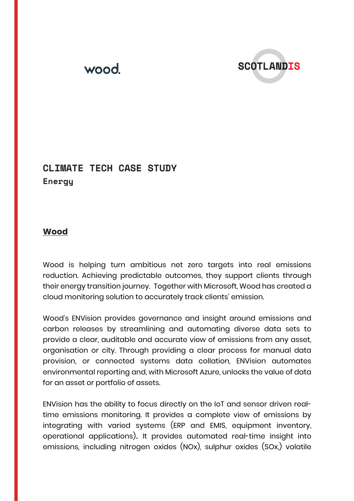

## **CLIMATE TECH CASE STUDY Energy**

## **Wood**

Wood is helping turn ambitious net zero targets into real emissions reduction. Achieving predictable outcomes, they support clients through their energy transition journey. Together with Microsoft, Wood has created a cloud monitoring solution to accurately track clients' emission.

Wood's ENVision provides governance and insight around emissions and carbon releases by streamlining and automating diverse data sets to provide a clear, auditable and accurate view of emissions from any asset, organisation or city. Through providing a clear process for manual data provision, or connected systems data collation, ENVision automates environmental reporting and, with Microsoft Azure, unlocks the value of data for an asset or portfolio of assets.

ENVision has the ability to focus directly on the IoT and sensor driven realtime emissions monitoring. It provides a complete view of emissions by integrating with varied systems (ERP and EMIS, equipment inventory, operational applications).. It provides automated real-time insight into emissions, including nitrogen oxides (NOx), sulphur oxides (SOx,) volatile